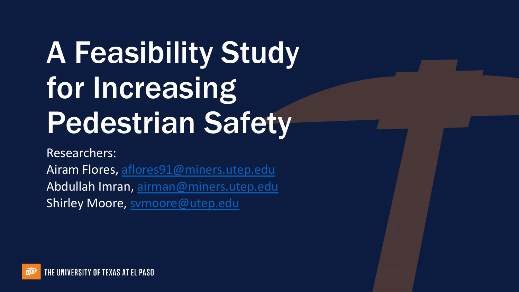# A Fe[a](mailto:aflores91@miners.utep.edu)[s](mailto:svmoore@utep.edu)[ibility Stud](mailto:airman@miners.utep.edu)y for Increasing Pedestrian Safety

Researchers:

Airam Flores, aflores91@miners.utep.edu Abdullah Imran, airman@miners.utep.edu Shirley Moore, symoore@utep.edu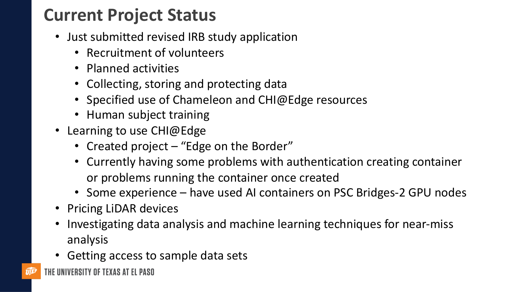## **Current Project Status**

- Just submitted revised IRB study application
	- Recruitment of volunteers
	- Planned activities
	- Collecting, storing and protecting data
	- Specified use of Chameleon and CHI@Edge resources
	- Human subject training
- Learning to use CHI@Edge
	- Created project "Edge on the Border"
	- Currently having some problems with authentication creating container or problems running the container once created
	- Some experience have used AI containers on PSC Bridges-2 GPU nodes
- Pricing LiDAR devices
- Investigating data analysis and machine learning techniques for near-miss analysis
- Getting access to sample data sets
- THE UNIVERSITY OF TEXAS AT EL PASO  $\widehat{\boldsymbol{y}}$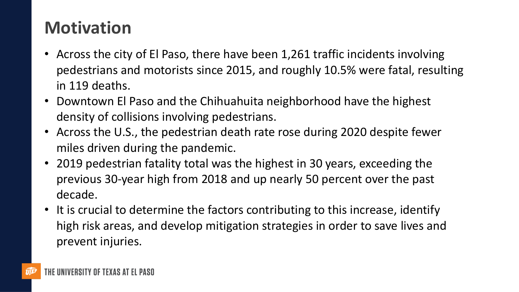## **Motivation**

- Across the city of El Paso, there have been 1,261 traffic incidents involving pedestrians and motorists since 2015, and roughly 10.5% were fatal, resulting in 119 deaths.
- Downtown El Paso and the Chihuahuita neighborhood have the highest density of collisions involving pedestrians.
- Across the U.S., the pedestrian death rate rose during 2020 despite fewer miles driven during the pandemic.
- 2019 pedestrian fatality total was the highest in 30 years, exceeding the previous 30-year high from 2018 and up nearly 50 percent over the past decade.
- It is crucial to determine the factors contributing to this increase, identify high risk areas, and develop mitigation strategies in order to save lives and prevent injuries.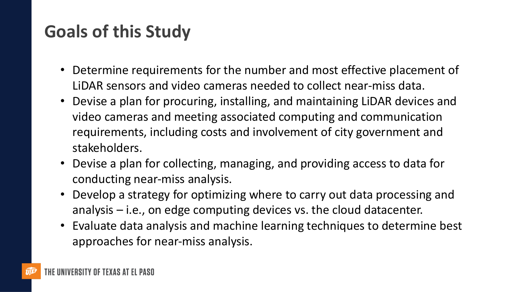## **Goals of this Study**

- Determine requirements for the number and most effective placement of LiDAR sensors and video cameras needed to collect near-miss data.
- Devise a plan for procuring, installing, and maintaining LiDAR devices and video cameras and meeting associated computing and communication requirements, including costs and involvement of city government and stakeholders.
- Devise a plan for collecting, managing, and providing access to data for conducting near-miss analysis.
- Develop a strategy for optimizing where to carry out data processing and analysis – i.e., on edge computing devices vs. the cloud datacenter.
- Evaluate data analysis and machine learning techniques to determine best approaches for near-miss analysis.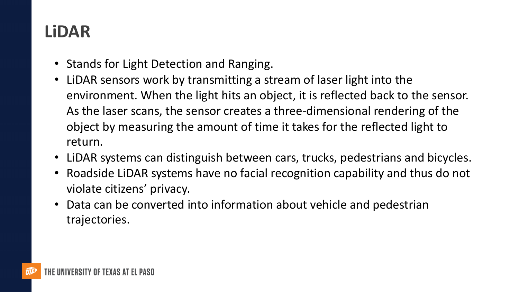### **LiDAR**

- Stands for Light Detection and Ranging.
- LiDAR sensors work by transmitting a stream of laser light into the environment. When the light hits an object, it is reflected back to the sensor. As the laser scans, the sensor creates a three-dimensional rendering of the object by measuring the amount of time it takes for the reflected light to return.
- LiDAR systems can distinguish between cars, trucks, pedestrians and bicycles.
- Roadside LiDAR systems have no facial recognition capability and thus do not violate citizens' privacy.
- Data can be converted into information about vehicle and pedestrian trajectories.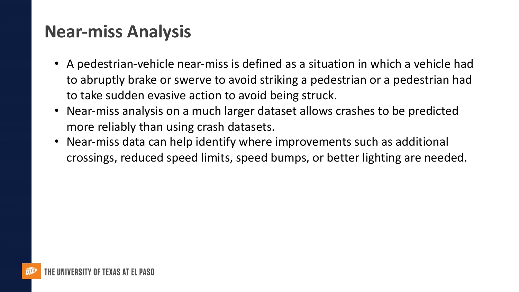#### **Near-miss Analysis**

- A pedestrian-vehicle near-miss is defined as a situation in which a vehicle had to abruptly brake or swerve to avoid striking a pedestrian or a pedestrian had to take sudden evasive action to avoid being struck.
- Near-miss analysis on a much larger dataset allows crashes to be predicted more reliably than using crash datasets.
- Near-miss data can help identify where improvements such as additional crossings, reduced speed limits, speed bumps, or better lighting are needed.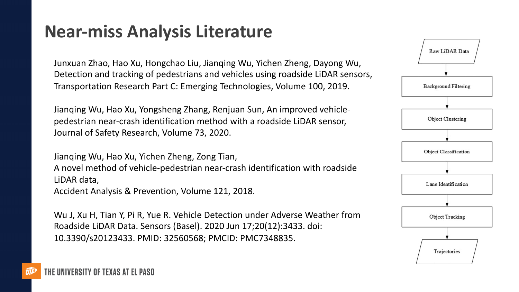#### **Near-miss Analysis Literature**

Junxuan Zhao, Hao Xu, Hongchao Liu, Jianqing Wu, Yichen Zheng, Dayong Wu, Detection and tracking of pedestrians and vehicles using roadside LiDAR sensors, Transportation Research Part C: Emerging Technologies, Volume 100, 2019.

Jianqing Wu, Hao Xu, Yongsheng Zhang, Renjuan Sun, An improved vehiclepedestrian near-crash identification method with a roadside LiDAR sensor, Journal of Safety Research, Volume 73, 2020.

Jianqing Wu, Hao Xu, Yichen Zheng, Zong Tian, A novel method of vehicle-pedestrian near-crash identification with roadside LiDAR data, Accident Analysis & Prevention, Volume 121, 2018.

Wu J, Xu H, Tian Y, Pi R, Yue R. Vehicle Detection under Adverse Weather from Roadside LiDAR Data. Sensors (Basel). 2020 Jun 17;20(12):3433. doi: 10.3390/s20123433. PMID: 32560568; PMCID: PMC7348835.

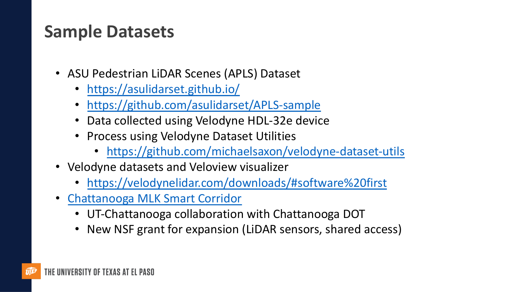#### **Sa[mple Datasets](https://velodynelidar.com/downloads/)**

- [ASU Pedestrian LiDAR Scenes \(AP](https://media.timesfreepress.com/news/documents/2021/08/02/smartcorridor15807509175.pdf)LS) Dataset
	- https://asulidarset.github.io/
	- https://github.com/asulidarset/APLS-sample
	- Data collected using Velodyne HDL-32e device
	- Process using Velodyne Dataset Utilities
		- https://github.com/michaelsaxon/velodyne
- Velodyne datasets and Veloview visualizer
	- https://velodynelidar.com/downloads/#softwa
- Chattanooga MLK Smart Corridor
	- UT-Chattanooga collaboration with Chattanoog
	- New NSF grant for expansion (LiDAR sensors, share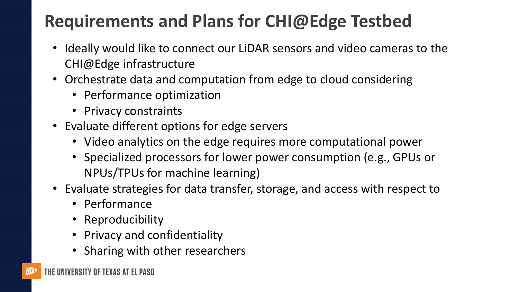## **Requirements and Plans for CHI@Edge Testbed**

- Ideally would like to connect our LiDAR sensors and video cameras to the CHI@Edge infrastructure
- Orchestrate data and computation from edge to cloud considering
	- Performance optimization
	- Privacy constraints
- Evaluate different options for edge servers
	- Video analytics on the edge requires more computational power
	- Specialized processors for lower power consumption (e.g., GPUs or NPUs/TPUs for machine learning)
- Evaluate strategies for data transfer, storage, and access with respect to
	- Performance
	- Reproducibility
	- Privacy and confidentiality
	- Sharing with other researchers